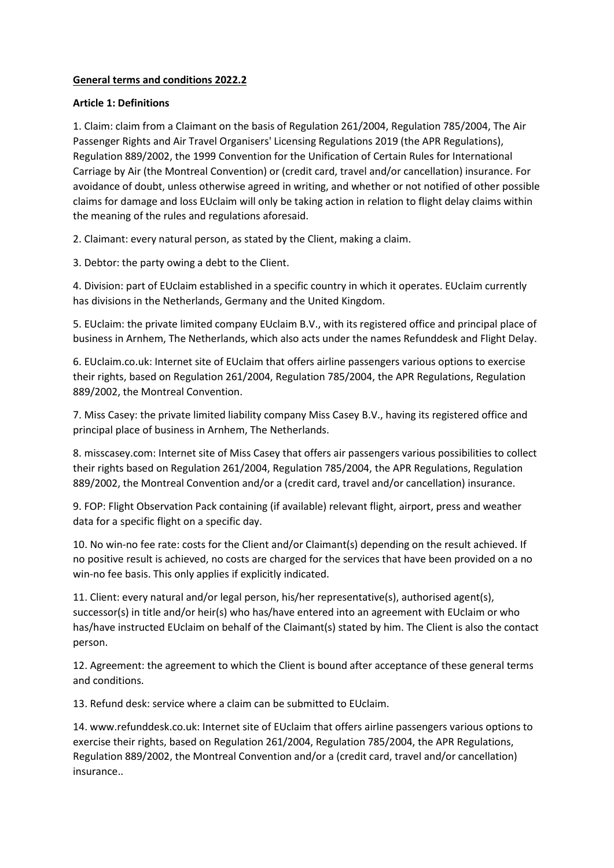# **General terms and conditions 2022.2**

### **Article 1: Definitions**

1. Claim: claim from a Claimant on the basis of Regulation 261/2004, Regulation 785/2004, The Air Passenger Rights and Air Travel Organisers' Licensing Regulations 2019 (the APR Regulations), Regulation 889/2002, the 1999 Convention for the Unification of Certain Rules for International Carriage by Air (the Montreal Convention) or (credit card, travel and/or cancellation) insurance. For avoidance of doubt, unless otherwise agreed in writing, and whether or not notified of other possible claims for damage and loss EUclaim will only be taking action in relation to flight delay claims within the meaning of the rules and regulations aforesaid.

2. Claimant: every natural person, as stated by the Client, making a claim.

3. Debtor: the party owing a debt to the Client.

4. Division: part of EUclaim established in a specific country in which it operates. EUclaim currently has divisions in the Netherlands, Germany and the United Kingdom.

5. EUclaim: the private limited company EUclaim B.V., with its registered office and principal place of business in Arnhem, The Netherlands, which also acts under the names Refunddesk and Flight Delay.

6. EUclaim.co.uk: Internet site of EUclaim that offers airline passengers various options to exercise their rights, based on Regulation 261/2004, Regulation 785/2004, the APR Regulations, Regulation 889/2002, the Montreal Convention.

7. Miss Casey: the private limited liability company Miss Casey B.V., having its registered office and principal place of business in Arnhem, The Netherlands.

8. misscasey.com: Internet site of Miss Casey that offers air passengers various possibilities to collect their rights based on Regulation 261/2004, Regulation 785/2004, the APR Regulations, Regulation 889/2002, the Montreal Convention and/or a (credit card, travel and/or cancellation) insurance.

9. FOP: Flight Observation Pack containing (if available) relevant flight, airport, press and weather data for a specific flight on a specific day.

10. No win-no fee rate: costs for the Client and/or Claimant(s) depending on the result achieved. If no positive result is achieved, no costs are charged for the services that have been provided on a no win-no fee basis. This only applies if explicitly indicated.

11. Client: every natural and/or legal person, his/her representative(s), authorised agent(s), successor(s) in title and/or heir(s) who has/have entered into an agreement with EUclaim or who has/have instructed EUclaim on behalf of the Claimant(s) stated by him. The Client is also the contact person.

12. Agreement: the agreement to which the Client is bound after acceptance of these general terms and conditions.

13. Refund desk: service where a claim can be submitted to EUclaim.

14. www.refunddesk.co.uk: Internet site of EUclaim that offers airline passengers various options to exercise their rights, based on Regulation 261/2004, Regulation 785/2004, the APR Regulations, Regulation 889/2002, the Montreal Convention and/or a (credit card, travel and/or cancellation) insurance..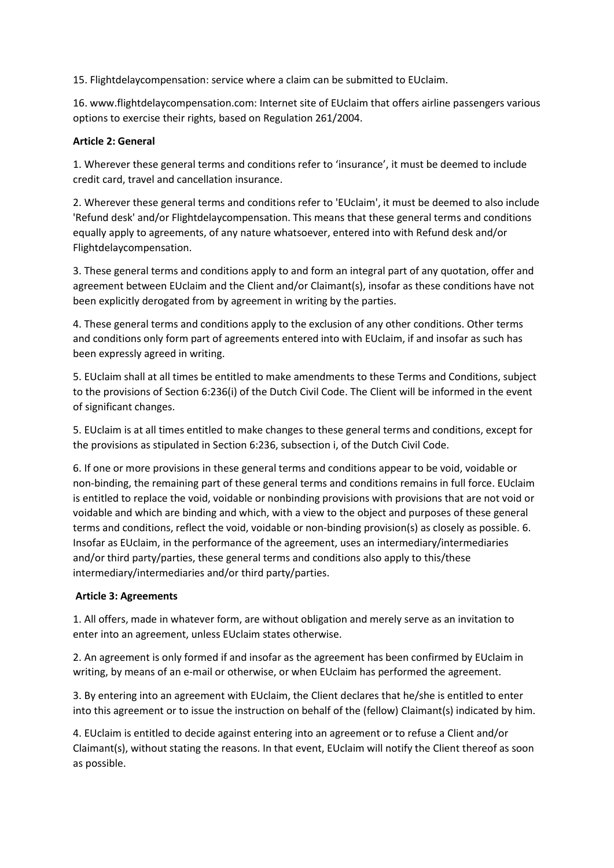15. Flightdelaycompensation: service where a claim can be submitted to EUclaim.

16. www.flightdelaycompensation.com: Internet site of EUclaim that offers airline passengers various options to exercise their rights, based on Regulation 261/2004.

### **Article 2: General**

1. Wherever these general terms and conditions refer to 'insurance', it must be deemed to include credit card, travel and cancellation insurance.

2. Wherever these general terms and conditions refer to 'EUclaim', it must be deemed to also include 'Refund desk' and/or Flightdelaycompensation. This means that these general terms and conditions equally apply to agreements, of any nature whatsoever, entered into with Refund desk and/or Flightdelaycompensation.

3. These general terms and conditions apply to and form an integral part of any quotation, offer and agreement between EUclaim and the Client and/or Claimant(s), insofar as these conditions have not been explicitly derogated from by agreement in writing by the parties.

4. These general terms and conditions apply to the exclusion of any other conditions. Other terms and conditions only form part of agreements entered into with EUclaim, if and insofar as such has been expressly agreed in writing.

5. EUclaim shall at all times be entitled to make amendments to these Terms and Conditions, subject to the provisions of Section 6:236(i) of the Dutch Civil Code. The Client will be informed in the event of significant changes.

5. EUclaim is at all times entitled to make changes to these general terms and conditions, except for the provisions as stipulated in Section 6:236, subsection i, of the Dutch Civil Code.

6. If one or more provisions in these general terms and conditions appear to be void, voidable or non-binding, the remaining part of these general terms and conditions remains in full force. EUclaim is entitled to replace the void, voidable or nonbinding provisions with provisions that are not void or voidable and which are binding and which, with a view to the object and purposes of these general terms and conditions, reflect the void, voidable or non-binding provision(s) as closely as possible. 6. Insofar as EUclaim, in the performance of the agreement, uses an intermediary/intermediaries and/or third party/parties, these general terms and conditions also apply to this/these intermediary/intermediaries and/or third party/parties.

### **Article 3: Agreements**

1. All offers, made in whatever form, are without obligation and merely serve as an invitation to enter into an agreement, unless EUclaim states otherwise.

2. An agreement is only formed if and insofar as the agreement has been confirmed by EUclaim in writing, by means of an e-mail or otherwise, or when EUclaim has performed the agreement.

3. By entering into an agreement with EUclaim, the Client declares that he/she is entitled to enter into this agreement or to issue the instruction on behalf of the (fellow) Claimant(s) indicated by him.

4. EUclaim is entitled to decide against entering into an agreement or to refuse a Client and/or Claimant(s), without stating the reasons. In that event, EUclaim will notify the Client thereof as soon as possible.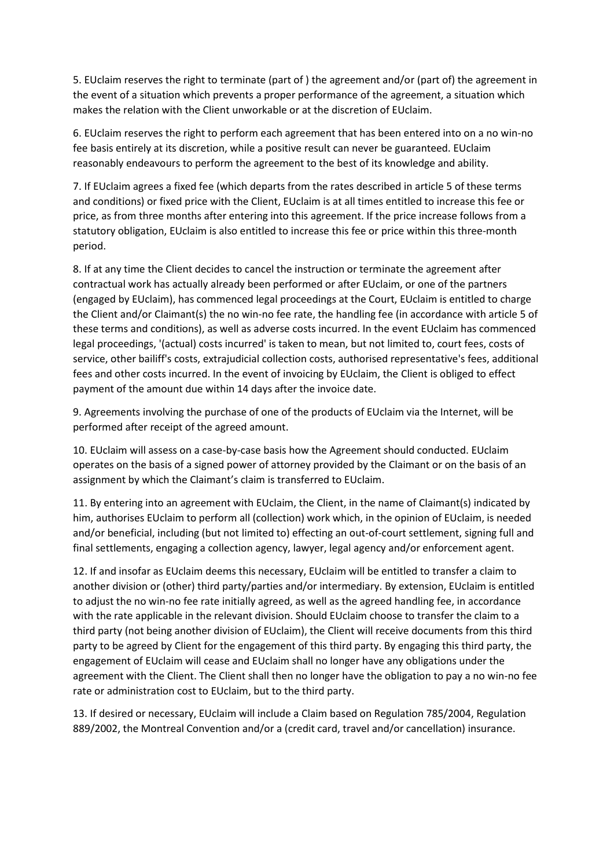5. EUclaim reserves the right to terminate (part of ) the agreement and/or (part of) the agreement in the event of a situation which prevents a proper performance of the agreement, a situation which makes the relation with the Client unworkable or at the discretion of EUclaim.

6. EUclaim reserves the right to perform each agreement that has been entered into on a no win-no fee basis entirely at its discretion, while a positive result can never be guaranteed. EUclaim reasonably endeavours to perform the agreement to the best of its knowledge and ability.

7. If EUclaim agrees a fixed fee (which departs from the rates described in article 5 of these terms and conditions) or fixed price with the Client, EUclaim is at all times entitled to increase this fee or price, as from three months after entering into this agreement. If the price increase follows from a statutory obligation, EUclaim is also entitled to increase this fee or price within this three-month period.

8. If at any time the Client decides to cancel the instruction or terminate the agreement after contractual work has actually already been performed or after EUclaim, or one of the partners (engaged by EUclaim), has commenced legal proceedings at the Court, EUclaim is entitled to charge the Client and/or Claimant(s) the no win-no fee rate, the handling fee (in accordance with article 5 of these terms and conditions), as well as adverse costs incurred. In the event EUclaim has commenced legal proceedings, '(actual) costs incurred' is taken to mean, but not limited to, court fees, costs of service, other bailiff's costs, extrajudicial collection costs, authorised representative's fees, additional fees and other costs incurred. In the event of invoicing by EUclaim, the Client is obliged to effect payment of the amount due within 14 days after the invoice date.

9. Agreements involving the purchase of one of the products of EUclaim via the Internet, will be performed after receipt of the agreed amount.

10. EUclaim will assess on a case-by-case basis how the Agreement should conducted. EUclaim operates on the basis of a signed power of attorney provided by the Claimant or on the basis of an assignment by which the Claimant's claim is transferred to EUclaim.

11. By entering into an agreement with EUclaim, the Client, in the name of Claimant(s) indicated by him, authorises EUclaim to perform all (collection) work which, in the opinion of EUclaim, is needed and/or beneficial, including (but not limited to) effecting an out-of-court settlement, signing full and final settlements, engaging a collection agency, lawyer, legal agency and/or enforcement agent.

12. If and insofar as EUclaim deems this necessary, EUclaim will be entitled to transfer a claim to another division or (other) third party/parties and/or intermediary. By extension, EUclaim is entitled to adjust the no win-no fee rate initially agreed, as well as the agreed handling fee, in accordance with the rate applicable in the relevant division. Should EUclaim choose to transfer the claim to a third party (not being another division of EUclaim), the Client will receive documents from this third party to be agreed by Client for the engagement of this third party. By engaging this third party, the engagement of EUclaim will cease and EUclaim shall no longer have any obligations under the agreement with the Client. The Client shall then no longer have the obligation to pay a no win-no fee rate or administration cost to EUclaim, but to the third party.

13. If desired or necessary, EUclaim will include a Claim based on Regulation 785/2004, Regulation 889/2002, the Montreal Convention and/or a (credit card, travel and/or cancellation) insurance.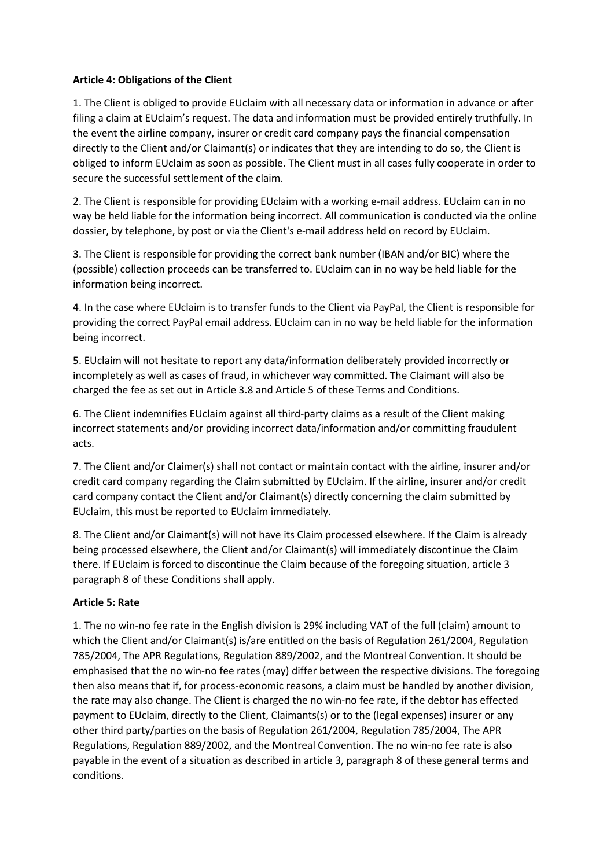### **Article 4: Obligations of the Client**

1. The Client is obliged to provide EUclaim with all necessary data or information in advance or after filing a claim at EUclaim's request. The data and information must be provided entirely truthfully. In the event the airline company, insurer or credit card company pays the financial compensation directly to the Client and/or Claimant(s) or indicates that they are intending to do so, the Client is obliged to inform EUclaim as soon as possible. The Client must in all cases fully cooperate in order to secure the successful settlement of the claim.

2. The Client is responsible for providing EUclaim with a working e-mail address. EUclaim can in no way be held liable for the information being incorrect. All communication is conducted via the online dossier, by telephone, by post or via the Client's e-mail address held on record by EUclaim.

3. The Client is responsible for providing the correct bank number (IBAN and/or BIC) where the (possible) collection proceeds can be transferred to. EUclaim can in no way be held liable for the information being incorrect.

4. In the case where EUclaim is to transfer funds to the Client via PayPal, the Client is responsible for providing the correct PayPal email address. EUclaim can in no way be held liable for the information being incorrect.

5. EUclaim will not hesitate to report any data/information deliberately provided incorrectly or incompletely as well as cases of fraud, in whichever way committed. The Claimant will also be charged the fee as set out in Article 3.8 and Article 5 of these Terms and Conditions.

6. The Client indemnifies EUclaim against all third-party claims as a result of the Client making incorrect statements and/or providing incorrect data/information and/or committing fraudulent acts.

7. The Client and/or Claimer(s) shall not contact or maintain contact with the airline, insurer and/or credit card company regarding the Claim submitted by EUclaim. If the airline, insurer and/or credit card company contact the Client and/or Claimant(s) directly concerning the claim submitted by EUclaim, this must be reported to EUclaim immediately.

8. The Client and/or Claimant(s) will not have its Claim processed elsewhere. If the Claim is already being processed elsewhere, the Client and/or Claimant(s) will immediately discontinue the Claim there. If EUclaim is forced to discontinue the Claim because of the foregoing situation, article 3 paragraph 8 of these Conditions shall apply.

### **Article 5: Rate**

1. The no win-no fee rate in the English division is 29% including VAT of the full (claim) amount to which the Client and/or Claimant(s) is/are entitled on the basis of Regulation 261/2004, Regulation 785/2004, The APR Regulations, Regulation 889/2002, and the Montreal Convention. It should be emphasised that the no win-no fee rates (may) differ between the respective divisions. The foregoing then also means that if, for process-economic reasons, a claim must be handled by another division, the rate may also change. The Client is charged the no win-no fee rate, if the debtor has effected payment to EUclaim, directly to the Client, Claimants(s) or to the (legal expenses) insurer or any other third party/parties on the basis of Regulation 261/2004, Regulation 785/2004, The APR Regulations, Regulation 889/2002, and the Montreal Convention. The no win-no fee rate is also payable in the event of a situation as described in article 3, paragraph 8 of these general terms and conditions.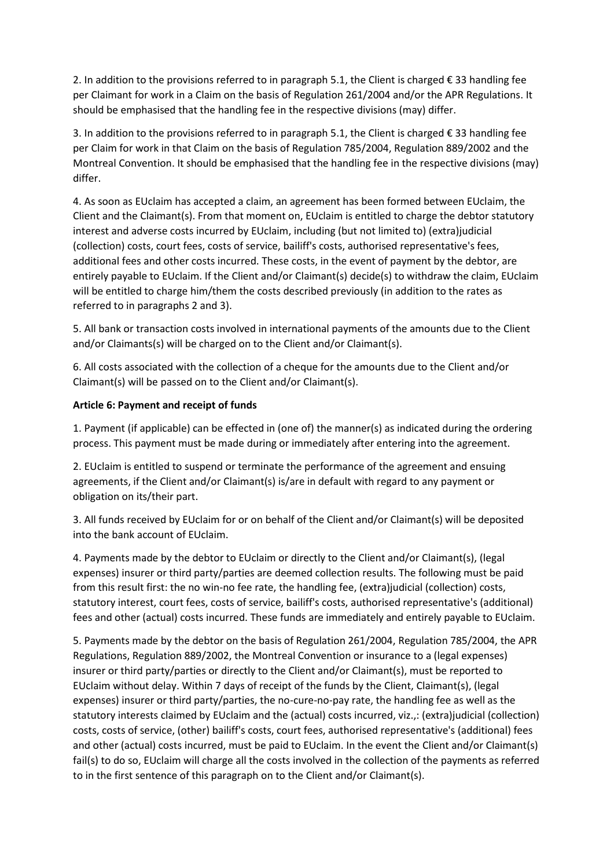2. In addition to the provisions referred to in paragraph 5.1, the Client is charged € 33 handling fee per Claimant for work in a Claim on the basis of Regulation 261/2004 and/or the APR Regulations. It should be emphasised that the handling fee in the respective divisions (may) differ.

3. In addition to the provisions referred to in paragraph 5.1, the Client is charged € 33 handling fee per Claim for work in that Claim on the basis of Regulation 785/2004, Regulation 889/2002 and the Montreal Convention. It should be emphasised that the handling fee in the respective divisions (may) differ.

4. As soon as EUclaim has accepted a claim, an agreement has been formed between EUclaim, the Client and the Claimant(s). From that moment on, EUclaim is entitled to charge the debtor statutory interest and adverse costs incurred by EUclaim, including (but not limited to) (extra)judicial (collection) costs, court fees, costs of service, bailiff's costs, authorised representative's fees, additional fees and other costs incurred. These costs, in the event of payment by the debtor, are entirely payable to EUclaim. If the Client and/or Claimant(s) decide(s) to withdraw the claim, EUclaim will be entitled to charge him/them the costs described previously (in addition to the rates as referred to in paragraphs 2 and 3).

5. All bank or transaction costs involved in international payments of the amounts due to the Client and/or Claimants(s) will be charged on to the Client and/or Claimant(s).

6. All costs associated with the collection of a cheque for the amounts due to the Client and/or Claimant(s) will be passed on to the Client and/or Claimant(s).

# **Article 6: Payment and receipt of funds**

1. Payment (if applicable) can be effected in (one of) the manner(s) as indicated during the ordering process. This payment must be made during or immediately after entering into the agreement.

2. EUclaim is entitled to suspend or terminate the performance of the agreement and ensuing agreements, if the Client and/or Claimant(s) is/are in default with regard to any payment or obligation on its/their part.

3. All funds received by EUclaim for or on behalf of the Client and/or Claimant(s) will be deposited into the bank account of EUclaim.

4. Payments made by the debtor to EUclaim or directly to the Client and/or Claimant(s), (legal expenses) insurer or third party/parties are deemed collection results. The following must be paid from this result first: the no win-no fee rate, the handling fee, (extra)judicial (collection) costs, statutory interest, court fees, costs of service, bailiff's costs, authorised representative's (additional) fees and other (actual) costs incurred. These funds are immediately and entirely payable to EUclaim.

5. Payments made by the debtor on the basis of Regulation 261/2004, Regulation 785/2004, the APR Regulations, Regulation 889/2002, the Montreal Convention or insurance to a (legal expenses) insurer or third party/parties or directly to the Client and/or Claimant(s), must be reported to EUclaim without delay. Within 7 days of receipt of the funds by the Client, Claimant(s), (legal expenses) insurer or third party/parties, the no-cure-no-pay rate, the handling fee as well as the statutory interests claimed by EUclaim and the (actual) costs incurred, viz.,: (extra)judicial (collection) costs, costs of service, (other) bailiff's costs, court fees, authorised representative's (additional) fees and other (actual) costs incurred, must be paid to EUclaim. In the event the Client and/or Claimant(s) fail(s) to do so, EUclaim will charge all the costs involved in the collection of the payments as referred to in the first sentence of this paragraph on to the Client and/or Claimant(s).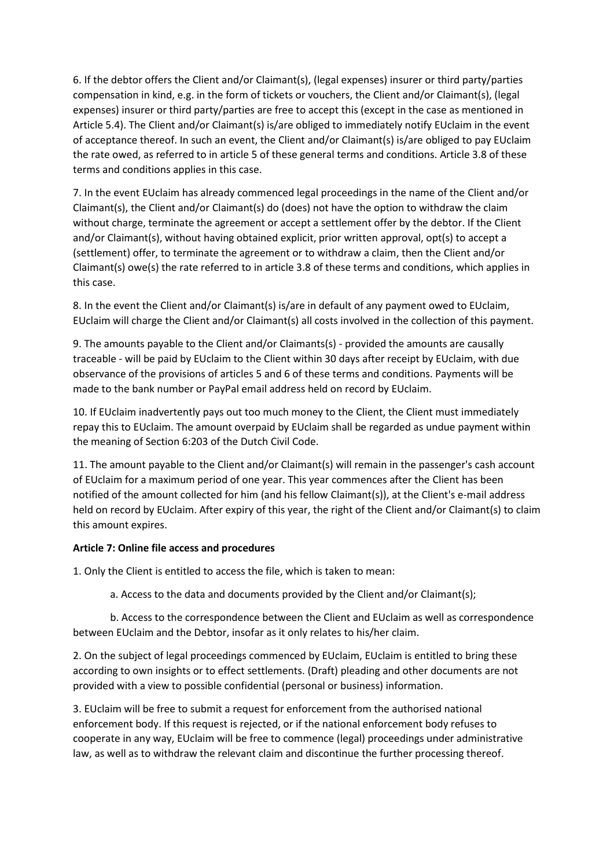6. If the debtor offers the Client and/or Claimant(s), (legal expenses) insurer or third party/parties compensation in kind, e.g. in the form of tickets or vouchers, the Client and/or Claimant(s), (legal expenses) insurer or third party/parties are free to accept this (except in the case as mentioned in Article 5.4). The Client and/or Claimant(s) is/are obliged to immediately notify EUclaim in the event of acceptance thereof. In such an event, the Client and/or Claimant(s) is/are obliged to pay EUclaim the rate owed, as referred to in article 5 of these general terms and conditions. Article 3.8 of these terms and conditions applies in this case.

7. In the event EUclaim has already commenced legal proceedings in the name of the Client and/or Claimant(s), the Client and/or Claimant(s) do (does) not have the option to withdraw the claim without charge, terminate the agreement or accept a settlement offer by the debtor. If the Client and/or Claimant(s), without having obtained explicit, prior written approval, opt(s) to accept a (settlement) offer, to terminate the agreement or to withdraw a claim, then the Client and/or Claimant(s) owe(s) the rate referred to in article 3.8 of these terms and conditions, which applies in this case.

8. In the event the Client and/or Claimant(s) is/are in default of any payment owed to EUclaim, EUclaim will charge the Client and/or Claimant(s) all costs involved in the collection of this payment.

9. The amounts payable to the Client and/or Claimants(s) - provided the amounts are causally traceable - will be paid by EUclaim to the Client within 30 days after receipt by EUclaim, with due observance of the provisions of articles 5 and 6 of these terms and conditions. Payments will be made to the bank number or PayPal email address held on record by EUclaim.

10. If EUclaim inadvertently pays out too much money to the Client, the Client must immediately repay this to EUclaim. The amount overpaid by EUclaim shall be regarded as undue payment within the meaning of Section 6:203 of the Dutch Civil Code.

11. The amount payable to the Client and/or Claimant(s) will remain in the passenger's cash account of EUclaim for a maximum period of one year. This year commences after the Client has been notified of the amount collected for him (and his fellow Claimant(s)), at the Client's e-mail address held on record by EUclaim. After expiry of this year, the right of the Client and/or Claimant(s) to claim this amount expires.

# **Article 7: Online file access and procedures**

1. Only the Client is entitled to access the file, which is taken to mean:

a. Access to the data and documents provided by the Client and/or Claimant(s);

b. Access to the correspondence between the Client and EUclaim as well as correspondence between EUclaim and the Debtor, insofar as it only relates to his/her claim.

2. On the subject of legal proceedings commenced by EUclaim, EUclaim is entitled to bring these according to own insights or to effect settlements. (Draft) pleading and other documents are not provided with a view to possible confidential (personal or business) information.

3. EUclaim will be free to submit a request for enforcement from the authorised national enforcement body. If this request is rejected, or if the national enforcement body refuses to cooperate in any way, EUclaim will be free to commence (legal) proceedings under administrative law, as well as to withdraw the relevant claim and discontinue the further processing thereof.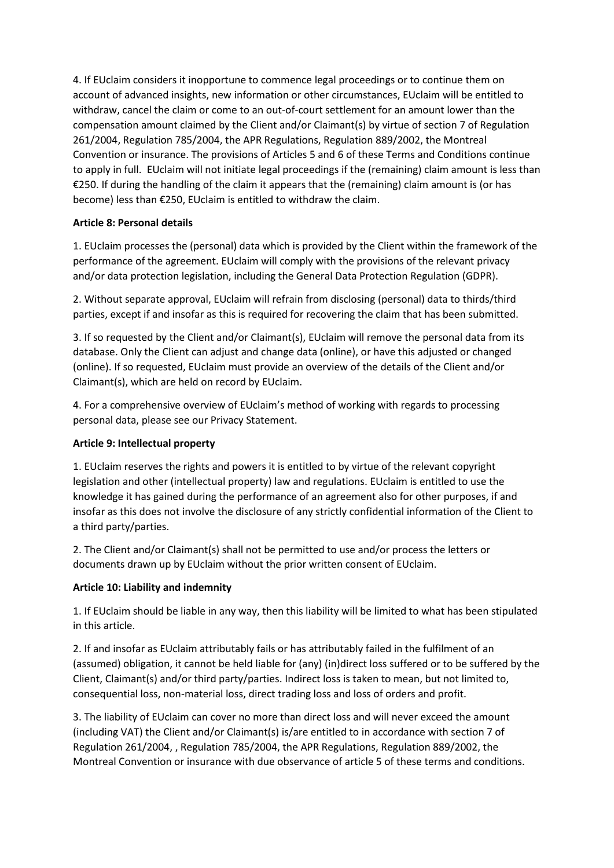4. If EUclaim considers it inopportune to commence legal proceedings or to continue them on account of advanced insights, new information or other circumstances, EUclaim will be entitled to withdraw, cancel the claim or come to an out-of-court settlement for an amount lower than the compensation amount claimed by the Client and/or Claimant(s) by virtue of section 7 of Regulation 261/2004, Regulation 785/2004, the APR Regulations, Regulation 889/2002, the Montreal Convention or insurance. The provisions of Articles 5 and 6 of these Terms and Conditions continue to apply in full. EUclaim will not initiate legal proceedings if the (remaining) claim amount is less than €250. If during the handling of the claim it appears that the (remaining) claim amount is (or has become) less than €250, EUclaim is entitled to withdraw the claim.

# **Article 8: Personal details**

1. EUclaim processes the (personal) data which is provided by the Client within the framework of the performance of the agreement. EUclaim will comply with the provisions of the relevant privacy and/or data protection legislation, including the General Data Protection Regulation (GDPR).

2. Without separate approval, EUclaim will refrain from disclosing (personal) data to thirds/third parties, except if and insofar as this is required for recovering the claim that has been submitted.

3. If so requested by the Client and/or Claimant(s), EUclaim will remove the personal data from its database. Only the Client can adjust and change data (online), or have this adjusted or changed (online). If so requested, EUclaim must provide an overview of the details of the Client and/or Claimant(s), which are held on record by EUclaim.

4. For a comprehensive overview of EUclaim's method of working with regards to processing personal data, please see our Privacy Statement.

# **Article 9: Intellectual property**

1. EUclaim reserves the rights and powers it is entitled to by virtue of the relevant copyright legislation and other (intellectual property) law and regulations. EUclaim is entitled to use the knowledge it has gained during the performance of an agreement also for other purposes, if and insofar as this does not involve the disclosure of any strictly confidential information of the Client to a third party/parties.

2. The Client and/or Claimant(s) shall not be permitted to use and/or process the letters or documents drawn up by EUclaim without the prior written consent of EUclaim.

# **Article 10: Liability and indemnity**

1. If EUclaim should be liable in any way, then this liability will be limited to what has been stipulated in this article.

2. If and insofar as EUclaim attributably fails or has attributably failed in the fulfilment of an (assumed) obligation, it cannot be held liable for (any) (in)direct loss suffered or to be suffered by the Client, Claimant(s) and/or third party/parties. Indirect loss is taken to mean, but not limited to, consequential loss, non-material loss, direct trading loss and loss of orders and profit.

3. The liability of EUclaim can cover no more than direct loss and will never exceed the amount (including VAT) the Client and/or Claimant(s) is/are entitled to in accordance with section 7 of Regulation 261/2004, , Regulation 785/2004, the APR Regulations, Regulation 889/2002, the Montreal Convention or insurance with due observance of article 5 of these terms and conditions.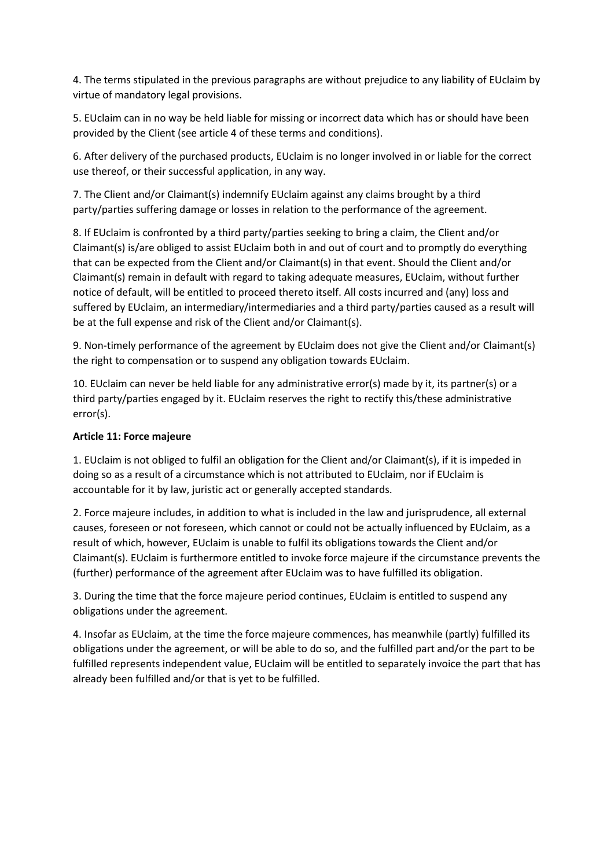4. The terms stipulated in the previous paragraphs are without prejudice to any liability of EUclaim by virtue of mandatory legal provisions.

5. EUclaim can in no way be held liable for missing or incorrect data which has or should have been provided by the Client (see article 4 of these terms and conditions).

6. After delivery of the purchased products, EUclaim is no longer involved in or liable for the correct use thereof, or their successful application, in any way.

7. The Client and/or Claimant(s) indemnify EUclaim against any claims brought by a third party/parties suffering damage or losses in relation to the performance of the agreement.

8. If EUclaim is confronted by a third party/parties seeking to bring a claim, the Client and/or Claimant(s) is/are obliged to assist EUclaim both in and out of court and to promptly do everything that can be expected from the Client and/or Claimant(s) in that event. Should the Client and/or Claimant(s) remain in default with regard to taking adequate measures, EUclaim, without further notice of default, will be entitled to proceed thereto itself. All costs incurred and (any) loss and suffered by EUclaim, an intermediary/intermediaries and a third party/parties caused as a result will be at the full expense and risk of the Client and/or Claimant(s).

9. Non-timely performance of the agreement by EUclaim does not give the Client and/or Claimant(s) the right to compensation or to suspend any obligation towards EUclaim.

10. EUclaim can never be held liable for any administrative error(s) made by it, its partner(s) or a third party/parties engaged by it. EUclaim reserves the right to rectify this/these administrative error(s).

# **Article 11: Force majeure**

1. EUclaim is not obliged to fulfil an obligation for the Client and/or Claimant(s), if it is impeded in doing so as a result of a circumstance which is not attributed to EUclaim, nor if EUclaim is accountable for it by law, juristic act or generally accepted standards.

2. Force majeure includes, in addition to what is included in the law and jurisprudence, all external causes, foreseen or not foreseen, which cannot or could not be actually influenced by EUclaim, as a result of which, however, EUclaim is unable to fulfil its obligations towards the Client and/or Claimant(s). EUclaim is furthermore entitled to invoke force majeure if the circumstance prevents the (further) performance of the agreement after EUclaim was to have fulfilled its obligation.

3. During the time that the force majeure period continues, EUclaim is entitled to suspend any obligations under the agreement.

4. Insofar as EUclaim, at the time the force majeure commences, has meanwhile (partly) fulfilled its obligations under the agreement, or will be able to do so, and the fulfilled part and/or the part to be fulfilled represents independent value, EUclaim will be entitled to separately invoice the part that has already been fulfilled and/or that is yet to be fulfilled.